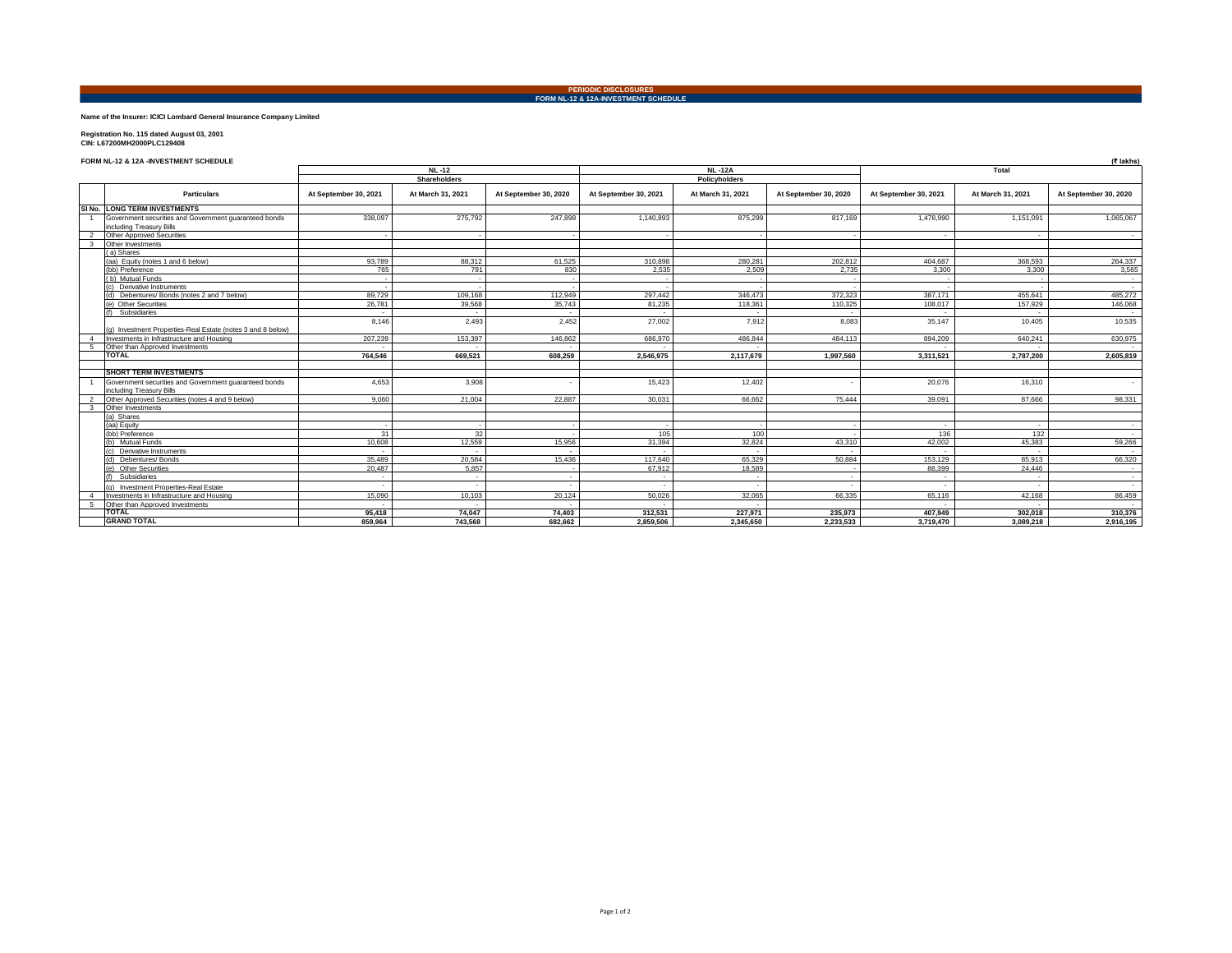**PERIODIC DISCLOSURES FORM NL-12 & 12A-INVESTMENT SCHEDULE**

## **Name of the Insurer: ICICI Lombard General Insurance Company Limited**

# **Registration No. 115 dated August 03, 2001 CIN: L67200MH2000PLC129408**

## **FORM NL-12 & 12A -INVESTMENT SCHEDULE (₹ lakhs)**

|                         |                                                                                   | <b>NL-12</b><br>Shareholders |                   |                       | <b>NL-12A</b><br>Policyholders |                   |                       | Total                 |                   |                       |
|-------------------------|-----------------------------------------------------------------------------------|------------------------------|-------------------|-----------------------|--------------------------------|-------------------|-----------------------|-----------------------|-------------------|-----------------------|
|                         |                                                                                   |                              |                   |                       |                                |                   |                       |                       |                   |                       |
|                         | <b>Particulars</b>                                                                | At September 30, 2021        | At March 31, 2021 | At September 30, 2020 | At September 30, 2021          | At March 31, 2021 | At September 30, 2020 | At September 30, 2021 | At March 31, 2021 | At September 30, 2020 |
|                         | SI No. LONG TERM INVESTMENTS                                                      |                              |                   |                       |                                |                   |                       |                       |                   |                       |
|                         | Government securities and Government quaranteed bonds<br>including Treasury Bills | 338,097                      | 275,792           | 247,898               | 1,140,893                      | 875,299           | 817,169               | 1,478,990             | 1,151,091         | 1,065,067             |
|                         | <b>Other Approved Securities</b>                                                  |                              |                   |                       |                                |                   |                       | $\sim$                |                   | $\sim$                |
| $\overline{\mathbf{3}}$ | Other Investments                                                                 |                              |                   |                       |                                |                   |                       |                       |                   |                       |
|                         | (a) Shares                                                                        |                              |                   |                       |                                |                   |                       |                       |                   |                       |
|                         | (aa) Equity (notes 1 and 6 below)                                                 | 93,789                       | 88.312            | 61,525                | 310.898                        | 280.281           | 202.812               | 404.687               | 368,593           | 264,337               |
|                         | (bb) Preference                                                                   | 765                          | 791               | 830                   | 2,535                          | 2,509             | 2,735                 | 3,300                 | 3,300             | 3,565                 |
|                         | (b) Mutual Funds                                                                  |                              |                   |                       |                                |                   |                       |                       |                   | $\sim$                |
|                         | Derivative Instruments                                                            |                              |                   |                       |                                |                   |                       |                       |                   | $\sim$                |
|                         | (d) Debentures/Bonds (notes 2 and 7 below)                                        | 89,729                       | 109.168           | 112,949               | 297,442                        | 346,473           | 372,323               | 387.171               | 455.641           | 485,272               |
|                         | (e) Other Securities                                                              | 26,781                       | 39,568            | 35,743                | 81,235                         | 118,361           | 110,325               | 108,017               | 157,929           | 146,068               |
|                         | Subsidiaries                                                                      |                              |                   |                       |                                |                   |                       |                       |                   | $\sim$                |
|                         | (g) Investment Properties-Real Estate (notes 3 and 8 below)                       | 8.146                        | 2,493             | 2,452                 | 27,002                         | 7,912             | 8,083                 | 35,147                | 10,405            | 10.535                |
| $\overline{4}$          | Investments in Infrastructure and Housing                                         | 207.239                      | 153.397           | 146,862               | 686,970                        | 486,844           | 484.113               | 894.209               | 640.241           | 630.975               |
| -5                      | Other than Approved Investments                                                   |                              |                   |                       |                                |                   |                       |                       |                   | $\sim$                |
|                         | <b>TOTAL</b>                                                                      | 764.546                      | 669.521           | 608.259               | 2.546.975                      | 2.117.679         | 1.997.560             | 3.311.521             | 2.787.200         | 2.605.819             |
|                         | <b>SHORT TERM INVESTMENTS</b>                                                     |                              |                   |                       |                                |                   |                       |                       |                   |                       |
|                         | Government securities and Government guaranteed bonds<br>including Treasury Bills | 4.653                        | 3.908             |                       | 15.423                         | 12,402            |                       | 20.076                | 16,310            |                       |
|                         | Other Approved Securities (notes 4 and 9 below)                                   | 9.060                        | 21,004            | 22,887                | 30,031                         | 66,662            | 75,444                | 39,091                | 87,666            | 98,331                |
| $\mathbf{3}$            | Other Investments                                                                 |                              |                   |                       |                                |                   |                       |                       |                   |                       |
|                         | (a) Shares                                                                        |                              |                   |                       |                                |                   |                       |                       |                   |                       |
|                         | (aa) Equity                                                                       |                              |                   |                       |                                |                   |                       | $\sim$                |                   | $\sim$                |
|                         | (bb) Preference                                                                   | 31                           | 32                |                       | 105                            | 100               |                       | 136                   | 132               | $\sim$                |
|                         | (b) Mutual Funds                                                                  | 10,608                       | 12,559            | 15,956                | 31.394                         | 32,824            | 43.310                | 42,002                | 45.383            | 59,266                |
|                         | Derivative Instruments                                                            |                              |                   |                       |                                |                   |                       |                       |                   | $\sim$                |
|                         | (d) Debentures/Bonds                                                              | 35,489                       | 20,584            | 15,436                | 117,640                        | 65,329            | 50,884                | 153,129               | 85,913            | 66,320                |
|                         | (e) Other Securities                                                              | 20,487                       | 5,857             |                       | 67,912                         | 18,589            |                       | 88,399                | 24.446            | $\sim$                |
|                         | (f) Subsidiaries                                                                  | $\sim$                       | a.                | $\sim$                |                                |                   | $\sim$                | $\sim$                |                   | $\sim$                |
|                         | (g) Investment Properties-Real Estate                                             |                              |                   |                       |                                |                   |                       |                       |                   |                       |
| $\overline{4}$          | Investments in Infrastructure and Housing                                         | 15,090                       | 10.103            | 20.124                | 50.026                         | 32.065            | 66.335                | 65,116                | 42.168            | 86,459                |
| -5                      | Other than Approved Investments                                                   |                              |                   |                       |                                |                   |                       |                       |                   | $\sim$                |
|                         | <b>TOTAL</b>                                                                      | 95.418                       | 74.047            | 74.403                | 312.531                        | 227.971           | 235.973               | 407.949               | 302.018           | 310,376               |
|                         | <b>GRAND TOTAL</b>                                                                | 859,964                      | 743,568           | 682.662               | 2,859,506                      | 2,345,650         | 2,233,533             | 3,719,470             | 3,089,218         | 2,916,195             |